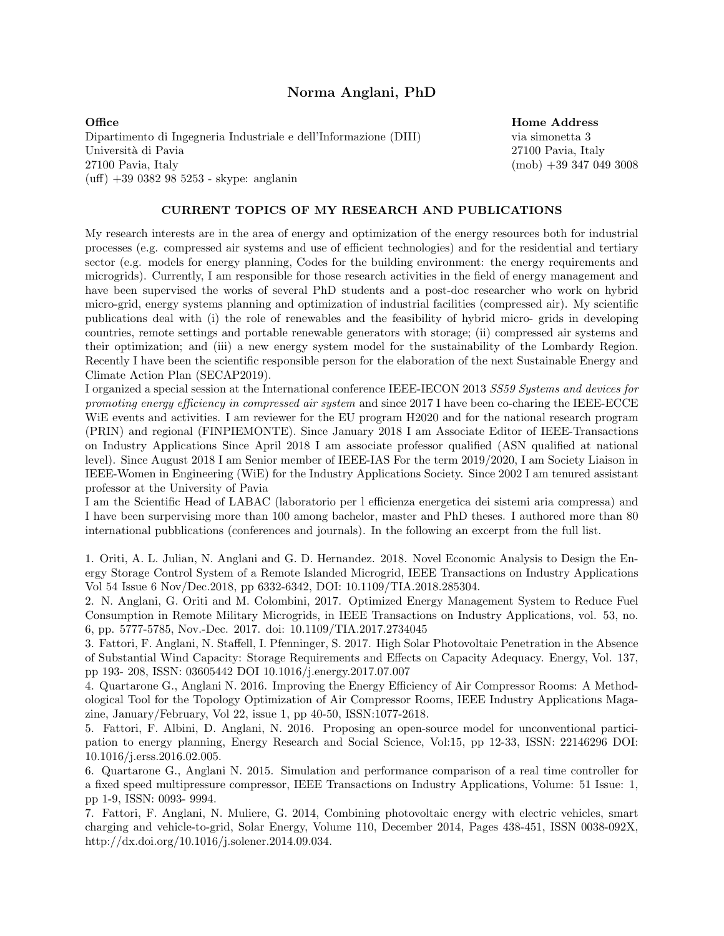# Norma Anglani, PhD

Office Dipartimento di Ingegneria Industriale e dell'Informazione (DIII) Universit`a di Pavia 27100 Pavia, Italy  $(uff) +390382985253 - skype: anglanin$ 

### Home Address

via simonetta 3 27100 Pavia, Italy (mob) +39 347 049 3008

### CURRENT TOPICS OF MY RESEARCH AND PUBLICATIONS

My research interests are in the area of energy and optimization of the energy resources both for industrial processes (e.g. compressed air systems and use of efficient technologies) and for the residential and tertiary sector (e.g. models for energy planning, Codes for the building environment: the energy requirements and microgrids). Currently, I am responsible for those research activities in the field of energy management and have been supervised the works of several PhD students and a post-doc researcher who work on hybrid micro-grid, energy systems planning and optimization of industrial facilities (compressed air). My scientific publications deal with (i) the role of renewables and the feasibility of hybrid micro- grids in developing countries, remote settings and portable renewable generators with storage; (ii) compressed air systems and their optimization; and (iii) a new energy system model for the sustainability of the Lombardy Region. Recently I have been the scientific responsible person for the elaboration of the next Sustainable Energy and Climate Action Plan (SECAP2019).

I organized a special session at the International conference IEEE-IECON 2013 *SS59 Systems and devices for promoting energy eciency in compressed air system* and since 2017 I have been co-charing the IEEE-ECCE WiE events and activities. I am reviewer for the EU program H2020 and for the national research program (PRIN) and regional (FINPIEMONTE). Since January 2018 I am Associate Editor of IEEE-Transactions on Industry Applications Since April 2018 I am associate professor qualified (ASN qualified at national level). Since August 2018 I am Senior member of IEEE-IAS For the term 2019/2020, I am Society Liaison in IEEE-Women in Engineering (WiE) for the Industry Applications Society. Since 2002 I am tenured assistant professor at the University of Pavia

I am the Scientific Head of LABAC (laboratorio per l efficienza energetica dei sistemi aria compressa) and I have been surpervising more than 100 among bachelor, master and PhD theses. I authored more than 80 international pubblications (conferences and journals). In the following an excerpt from the full list.

1. Oriti, A. L. Julian, N. Anglani and G. D. Hernandez. 2018. Novel Economic Analysis to Design the Energy Storage Control System of a Remote Islanded Microgrid, IEEE Transactions on Industry Applications Vol 54 Issue 6 Nov/Dec.2018, pp 6332-6342, DOI: 10.1109/TIA.2018.285304.

2. N. Anglani, G. Oriti and M. Colombini, 2017. Optimized Energy Management System to Reduce Fuel Consumption in Remote Military Microgrids, in IEEE Transactions on Industry Applications, vol. 53, no. 6, pp. 5777-5785, Nov.-Dec. 2017. doi: 10.1109/TIA.2017.2734045

3. Fattori, F. Anglani, N. Staffell, I. Pfenninger, S. 2017. High Solar Photovoltaic Penetration in the Absence of Substantial Wind Capacity: Storage Requirements and E↵ects on Capacity Adequacy. Energy, Vol. 137, pp 193- 208, ISSN: 03605442 DOI 10.1016/j.energy.2017.07.007

4. Quartarone G., Anglani N. 2016. Improving the Energy Efficiency of Air Compressor Rooms: A Methodological Tool for the Topology Optimization of Air Compressor Rooms, IEEE Industry Applications Magazine, January/February, Vol 22, issue 1, pp 40-50, ISSN:1077-2618.

5. Fattori, F. Albini, D. Anglani, N. 2016. Proposing an open-source model for unconventional participation to energy planning, Energy Research and Social Science, Vol:15, pp 12-33, ISSN: 22146296 DOI: 10.1016/j.erss.2016.02.005.

6. Quartarone G., Anglani N. 2015. Simulation and performance comparison of a real time controller for a fixed speed multipressure compressor, IEEE Transactions on Industry Applications, Volume: 51 Issue: 1, pp 1-9, ISSN: 0093- 9994.

7. Fattori, F. Anglani, N. Muliere, G. 2014, Combining photovoltaic energy with electric vehicles, smart charging and vehicle-to-grid, Solar Energy, Volume 110, December 2014, Pages 438-451, ISSN 0038-092X, http://dx.doi.org/10.1016/j.solener.2014.09.034.